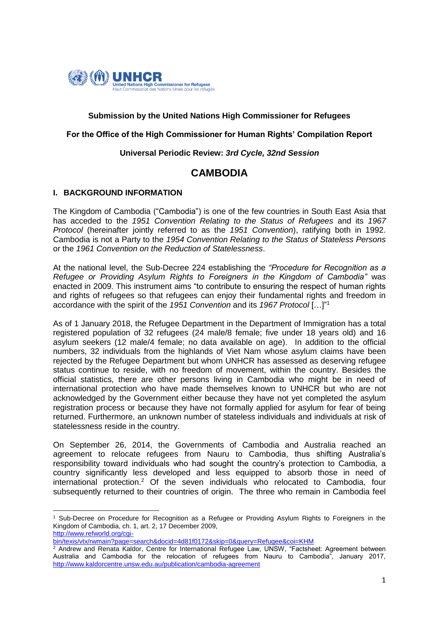

# **Submission by the United Nations High Commissioner for Refugees**

#### **For the Office of the High Commissioner for Human Rights' Compilation Report**

### **Universal Periodic Review:** *3rd Cycle, 32nd Session*

# **CAMBODIA**

#### **I. BACKGROUND INFORMATION**

1

The Kingdom of Cambodia ("Cambodia") is one of the few countries in South East Asia that has acceded to the *1951 Convention Relating to the Status of Refugees* and its *1967 Protocol* (hereinafter jointly referred to as the *1951 Convention*), ratifying both in 1992. Cambodia is not a Party to the *1954 Convention Relating to the Status of Stateless Persons* or the *1961 Convention on the Reduction of Statelessness*.

At the national level, the Sub-Decree 224 establishing the *"Procedure for Recognition as a Refugee or Providing Asylum Rights to Foreigners in the Kingdom of Cambodia"* was enacted in 2009. This instrument aims "to contribute to ensuring the respect of human rights and rights of refugees so that refugees can enjoy their fundamental rights and freedom in accordance with the spirit of the *1951 Convention* and its *1967 Protocol* […]" 1

As of 1 January 2018, the Refugee Department in the Department of Immigration has a total registered population of 32 refugees (24 male/8 female; five under 18 years old) and 16 asylum seekers (12 male/4 female; no data available on age). In addition to the official numbers, 32 individuals from the highlands of Viet Nam whose asylum claims have been rejected by the Refugee Department but whom UNHCR has assessed as deserving refugee status continue to reside, with no freedom of movement, within the country. Besides the official statistics, there are other persons living in Cambodia who might be in need of international protection who have made themselves known to UNHCR but who are not acknowledged by the Government either because they have not yet completed the asylum registration process or because they have not formally applied for asylum for fear of being returned. Furthermore, an unknown number of stateless individuals and individuals at risk of statelessness reside in the country.

On September 26, 2014, the Governments of Cambodia and Australia reached an agreement to relocate refugees from Nauru to Cambodia, thus shifting Australia's responsibility toward individuals who had sought the country's protection to Cambodia, a country significantly less developed and less equipped to absorb those in need of international protection.<sup>2</sup> Of the seven individuals who relocated to Cambodia, four subsequently returned to their countries of origin. The three who remain in Cambodia feel

<sup>1</sup> Sub-Decree on Procedure for Recognition as a Refugee or Providing Asylum Rights to Foreigners in the Kingdom of Cambodia, ch. 1, art. 2, 17 December 2009, [http://www.refworld.org/cgi-](http://www.refworld.org/cgi-bin/texis/vtx/rwmain?page=search&docid=4d81f0172&skip=0&query=Refugee&coi=KHM)

[bin/texis/vtx/rwmain?page=search&docid=4d81f0172&skip=0&query=Refugee&coi=KHM](http://www.refworld.org/cgi-bin/texis/vtx/rwmain?page=search&docid=4d81f0172&skip=0&query=Refugee&coi=KHM)

 $\frac{2}{3}$  Andrew and Renata Kaldor, Centre for International Refugee Law, UNSW, "Factsheet: Agreement between Australia and Cambodia for the relocation of refugees from Nauru to Cambodia", January 2017, <http://www.kaldorcentre.unsw.edu.au/publication/cambodia-agreement>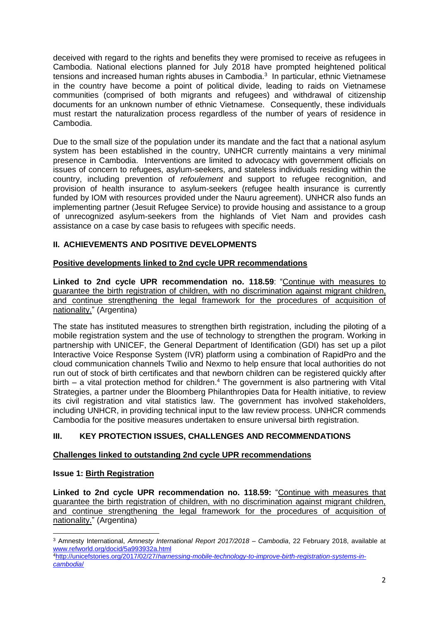deceived with regard to the rights and benefits they were promised to receive as refugees in Cambodia. National elections planned for July 2018 have prompted heightened political tensions and increased human rights abuses in Cambodia. 3 In particular, ethnic Vietnamese in the country have become a point of political divide, leading to raids on Vietnamese communities (comprised of both migrants and refugees) and withdrawal of citizenship documents for an unknown number of ethnic Vietnamese. Consequently, these individuals must restart the naturalization process regardless of the number of years of residence in Cambodia.

Due to the small size of the population under its mandate and the fact that a national asylum system has been established in the country, UNHCR currently maintains a very minimal presence in Cambodia. Interventions are limited to advocacy with government officials on issues of concern to refugees, asylum-seekers, and stateless individuals residing within the country, including prevention of *refoulement* and support to refugee recognition, and provision of health insurance to asylum-seekers (refugee health insurance is currently funded by IOM with resources provided under the Nauru agreement). UNHCR also funds an implementing partner (Jesuit Refugee Service) to provide housing and assistance to a group of unrecognized asylum-seekers from the highlands of Viet Nam and provides cash assistance on a case by case basis to refugees with specific needs.

# **II. ACHIEVEMENTS AND POSITIVE DEVELOPMENTS**

# **Positive developments linked to 2nd cycle UPR recommendations**

**Linked to 2nd cycle UPR recommendation no. 118.59**: "Continue with measures to guarantee the birth registration of children, with no discrimination against migrant children, and continue strengthening the legal framework for the procedures of acquisition of nationality." (Argentina)

The state has instituted measures to strengthen birth registration, including the piloting of a mobile registration system and the use of technology to strengthen the program. Working in partnership with UNICEF, the General Department of Identification (GDI) has set up a pilot Interactive Voice Response System (IVR) platform using a combination of [RapidPro](https://community.rapidpro.io/about-rapidpro/) and the cloud communication channels Twilio and Nexmo to help ensure that local authorities do not run out of stock of birth certificates and that newborn children can be registered quickly after birth – a vital protection method for children.<sup>4</sup> The government is also partnering with Vital Strategies, a partner under the Bloomberg Philanthropies Data for Health initiative, to review its civil registration and vital statistics law. The government has involved stakeholders, including UNHCR, in providing technical input to the law review process. UNHCR commends Cambodia for the positive measures undertaken to ensure universal birth registration.

# **III. KEY PROTECTION ISSUES, CHALLENGES AND RECOMMENDATIONS**

# **Challenges linked to outstanding 2nd cycle UPR recommendations**

# **Issue 1: Birth Registration**

**Linked to 2nd cycle UPR recommendation no. 118.59:** "Continue with measures that guarantee the birth registration of children, with no discrimination against migrant children, and continue strengthening the legal framework for the procedures of acquisition of nationality." (Argentina)

<sup>1</sup> <sup>3</sup> Amnesty International, *Amnesty International Report 2017/2018 – Cambodia*, 22 February 2018, available at [www.refworld.org/docid/5a993932a.html](http://www.refworld.org/docid/5a993932a.html)

<sup>4</sup>http://unicefstories.org/2017/02/27/*[harnessing-mobile-technology-to-improve-birth-registration-systems-in](http://unicefstories.org/2017/02/27/harnessing-mobile-technology-to-improve-birth-registration-systems-in-cambodia/)[cambodia](http://unicefstories.org/2017/02/27/harnessing-mobile-technology-to-improve-birth-registration-systems-in-cambodia/)*/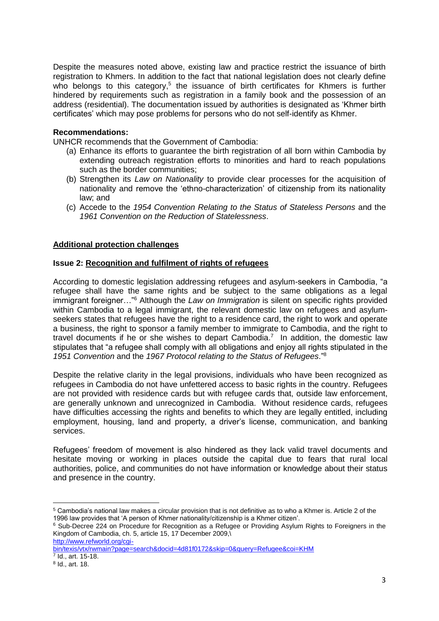Despite the measures noted above, existing law and practice restrict the issuance of birth registration to Khmers. In addition to the fact that national legislation does not clearly define who belongs to this category,<sup>5</sup> the issuance of birth certificates for Khmers is further hindered by requirements such as registration in a family book and the possession of an address (residential). The documentation issued by authorities is designated as 'Khmer birth certificates' which may pose problems for persons who do not self-identify as Khmer.

### **Recommendations:**

UNHCR recommends that the Government of Cambodia:

- (a) Enhance its efforts to guarantee the birth registration of all born within Cambodia by extending outreach registration efforts to minorities and hard to reach populations such as the border communities;
- (b) Strengthen its *Law on Nationality* to provide clear processes for the acquisition of nationality and remove the 'ethno-characterization' of citizenship from its nationality law; and
- (c) Accede to the *1954 Convention Relating to the Status of Stateless Persons* and the *1961 Convention on the Reduction of Statelessness*.

# **Additional protection challenges**

#### **Issue 2: Recognition and fulfilment of rights of refugees**

According to domestic legislation addressing refugees and asylum-seekers in Cambodia, "a refugee shall have the same rights and be subject to the same obligations as a legal immigrant foreigner…"<sup>6</sup> Although the *Law on Immigration* is silent on specific rights provided within Cambodia to a legal immigrant, the relevant domestic law on refugees and asylumseekers states that refugees have the right to a residence card, the right to work and operate a business, the right to sponsor a family member to immigrate to Cambodia, and the right to travel documents if he or she wishes to depart Cambodia.<sup>7</sup> In addition, the domestic law stipulates that "a refugee shall comply with all obligations and enjoy all rights stipulated in the *1951 Convention* and the *1967 Protocol relating to the Status of Refugees*."<sup>8</sup>

Despite the relative clarity in the legal provisions, individuals who have been recognized as refugees in Cambodia do not have unfettered access to basic rights in the country. Refugees are not provided with residence cards but with refugee cards that, outside law enforcement, are generally unknown and unrecognized in Cambodia. Without residence cards, refugees have difficulties accessing the rights and benefits to which they are legally entitled, including employment, housing, land and property, a driver's license, communication, and banking services.

Refugees' freedom of movement is also hindered as they lack valid travel documents and hesitate moving or working in places outside the capital due to fears that rural local authorities, police, and communities do not have information or knowledge about their status and presence in the country.

[http://www.refworld.org/cgi-](http://www.refworld.org/cgi-bin/texis/vtx/rwmain?page=search&docid=4d81f0172&skip=0&query=Refugee&coi=KHM)

[bin/texis/vtx/rwmain?page=search&docid=4d81f0172&skip=0&query=Refugee&coi=KHM](http://www.refworld.org/cgi-bin/texis/vtx/rwmain?page=search&docid=4d81f0172&skip=0&query=Refugee&coi=KHM) 7 Id., art. 15-18.

**<sup>.</sup>** <sup>5</sup> Cambodia's national law makes a circular provision that is not definitive as to who a Khmer is. Article 2 of the 1996 law provides that 'A person of Khmer nationality/citizenship is a Khmer citizen'.

<sup>&</sup>lt;sup>6</sup> Sub-Decree 224 on Procedure for Recognition as a Refugee or Providing Asylum Rights to Foreigners in the Kingdom of Cambodia, ch. 5, article 15, 17 December 2009,\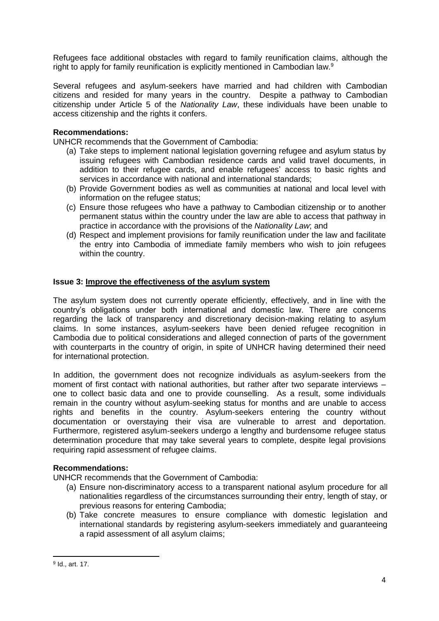Refugees face additional obstacles with regard to family reunification claims, although the right to apply for family reunification is explicitly mentioned in Cambodian law.<sup>9</sup>

Several refugees and asylum-seekers have married and had children with Cambodian citizens and resided for many years in the country. Despite a pathway to Cambodian citizenship under Article 5 of the *Nationality Law*, these individuals have been unable to access citizenship and the rights it confers.

# **Recommendations:**

UNHCR recommends that the Government of Cambodia:

- (a) Take steps to implement national legislation governing refugee and asylum status by issuing refugees with Cambodian residence cards and valid travel documents, in addition to their refugee cards, and enable refugees' access to basic rights and services in accordance with national and international standards;
- (b) Provide Government bodies as well as communities at national and local level with information on the refugee status;
- (c) Ensure those refugees who have a pathway to Cambodian citizenship or to another permanent status within the country under the law are able to access that pathway in practice in accordance with the provisions of the *Nationality Law*; and
- (d) Respect and implement provisions for family reunification under the law and facilitate the entry into Cambodia of immediate family members who wish to join refugees within the country.

#### **Issue 3: Improve the effectiveness of the asylum system**

The asylum system does not currently operate efficiently, effectively, and in line with the country's obligations under both international and domestic law. There are concerns regarding the lack of transparency and discretionary decision-making relating to asylum claims. In some instances, asylum-seekers have been denied refugee recognition in Cambodia due to political considerations and alleged connection of parts of the government with counterparts in the country of origin, in spite of UNHCR having determined their need for international protection.

In addition, the government does not recognize individuals as asylum-seekers from the moment of first contact with national authorities, but rather after two separate interviews – one to collect basic data and one to provide counselling. As a result, some individuals remain in the country without asylum-seeking status for months and are unable to access rights and benefits in the country. Asylum-seekers entering the country without documentation or overstaying their visa are vulnerable to arrest and deportation. Furthermore, registered asylum-seekers undergo a lengthy and burdensome refugee status determination procedure that may take several years to complete, despite legal provisions requiring rapid assessment of refugee claims.

#### **Recommendations:**

UNHCR recommends that the Government of Cambodia:

- (a) Ensure non-discriminatory access to a transparent national asylum procedure for all nationalities regardless of the circumstances surrounding their entry, length of stay, or previous reasons for entering Cambodia;
- (b) Take concrete measures to ensure compliance with domestic legislation and international standards by registering asylum-seekers immediately and guaranteeing a rapid assessment of all asylum claims;

1

<sup>&</sup>lt;sup>9</sup> Id., art. 17.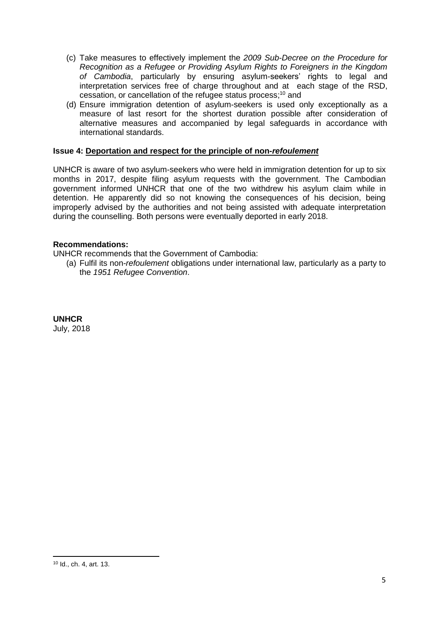- (c) Take measures to effectively implement the *2009 Sub-Decree on the Procedure for Recognition as a Refugee or Providing Asylum Rights to Foreigners in the Kingdom of Cambodia*, particularly by ensuring asylum-seekers' rights to legal and interpretation services free of charge throughout and at each stage of the RSD, cessation, or cancellation of the refugee status process; <sup>10</sup> and
- (d) Ensure immigration detention of asylum-seekers is used only exceptionally as a measure of last resort for the shortest duration possible after consideration of alternative measures and accompanied by legal safeguards in accordance with international standards.

# **Issue 4: Deportation and respect for the principle of non-***refoulement*

UNHCR is aware of two asylum-seekers who were held in immigration detention for up to six months in 2017, despite filing asylum requests with the government. The Cambodian government informed UNHCR that one of the two withdrew his asylum claim while in detention. He apparently did so not knowing the consequences of his decision, being improperly advised by the authorities and not being assisted with adequate interpretation during the counselling. Both persons were eventually deported in early 2018.

# **Recommendations:**

UNHCR recommends that the Government of Cambodia:

(a) Fulfil its non-*refoulement* obligations under international law, particularly as a party to the *1951 Refugee Convention*.

**UNHCR** July, 2018

1

<sup>10</sup> Id., ch. 4, art. 13.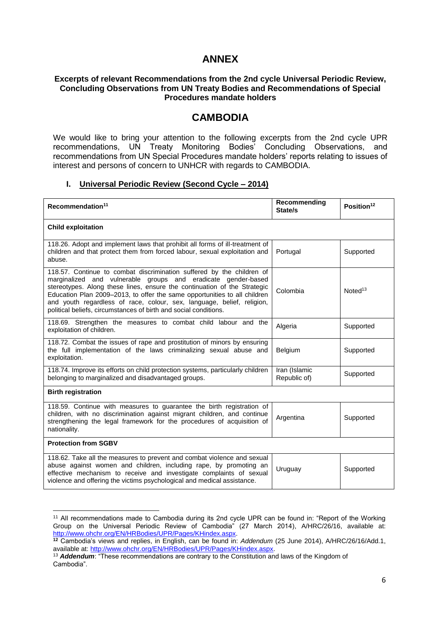# **ANNEX**

#### **Excerpts of relevant Recommendations from the 2nd cycle Universal Periodic Review, Concluding Observations from UN Treaty Bodies and Recommendations of Special Procedures mandate holders**

# **CAMBODIA**

We would like to bring your attention to the following excerpts from the 2nd cycle UPR recommendations, UN Treaty Monitoring Bodies' Concluding Observations, and recommendations from UN Special Procedures mandate holders' reports relating to issues of interest and persons of concern to UNHCR with regards to CAMBODIA.

#### **I. Universal Periodic Review (Second Cycle – 2014)**

| Recommendation <sup>11</sup>                                                                                                                                                                                                                                                                                                                                                                                                                  | Recommending<br>State/s       | Position <sup>12</sup> |  |
|-----------------------------------------------------------------------------------------------------------------------------------------------------------------------------------------------------------------------------------------------------------------------------------------------------------------------------------------------------------------------------------------------------------------------------------------------|-------------------------------|------------------------|--|
| <b>Child exploitation</b>                                                                                                                                                                                                                                                                                                                                                                                                                     |                               |                        |  |
| 118.26. Adopt and implement laws that prohibit all forms of ill-treatment of<br>children and that protect them from forced labour, sexual exploitation and<br>abuse.                                                                                                                                                                                                                                                                          | Portugal                      | Supported              |  |
| 118.57. Continue to combat discrimination suffered by the children of<br>marginalized and vulnerable groups and eradicate gender-based<br>stereotypes. Along these lines, ensure the continuation of the Strategic<br>Education Plan 2009-2013, to offer the same opportunities to all children<br>and youth regardless of race, colour, sex, language, belief, religion,<br>political beliefs, circumstances of birth and social conditions. | Colombia                      | Noted <sup>13</sup>    |  |
| 118.69. Strengthen the measures to combat child labour and the<br>exploitation of children.                                                                                                                                                                                                                                                                                                                                                   | Algeria                       | Supported              |  |
| 118.72. Combat the issues of rape and prostitution of minors by ensuring<br>the full implementation of the laws criminalizing sexual abuse and<br>exploitation.                                                                                                                                                                                                                                                                               | Belgium                       | Supported              |  |
| 118.74. Improve its efforts on child protection systems, particularly children<br>belonging to marginalized and disadvantaged groups.                                                                                                                                                                                                                                                                                                         | Iran (Islamic<br>Republic of) | Supported              |  |
| <b>Birth registration</b>                                                                                                                                                                                                                                                                                                                                                                                                                     |                               |                        |  |
| 118.59. Continue with measures to guarantee the birth registration of<br>children, with no discrimination against migrant children, and continue<br>strengthening the legal framework for the procedures of acquisition of<br>nationality.                                                                                                                                                                                                    | Argentina                     | Supported              |  |
| <b>Protection from SGBV</b>                                                                                                                                                                                                                                                                                                                                                                                                                   |                               |                        |  |
| 118.62. Take all the measures to prevent and combat violence and sexual<br>abuse against women and children, including rape, by promoting an<br>effective mechanism to receive and investigate complaints of sexual<br>violence and offering the victims psychological and medical assistance.                                                                                                                                                | Uruguay                       | Supported              |  |

<sup>1</sup> <sup>11</sup> All recommendations made to Cambodia during its 2nd cycle UPR can be found in: "Report of the Working Group on the Universal Periodic Review of Cambodia" (27 March 2014), A/HRC/26/16, available at: [http://www.ohchr.org/EN/HRBodies/UPR/Pages/KHindex.aspx.](http://www.ohchr.org/EN/HRBodies/UPR/Pages/KHindex.aspx)

**<sup>12</sup>** Cambodia's views and replies, in English, can be found in: *Addendum* (25 June 2014), A/HRC/26/16/Add.1, available at: [http://www.ohchr.org/EN/HRBodies/UPR/Pages/KHindex.aspx.](http://www.ohchr.org/EN/HRBodies/UPR/Pages/KHindex.aspx)

<sup>&</sup>lt;sup>13</sup> Addendum: "These recommendations are contrary to the Constitution and laws of the Kingdom of Cambodia".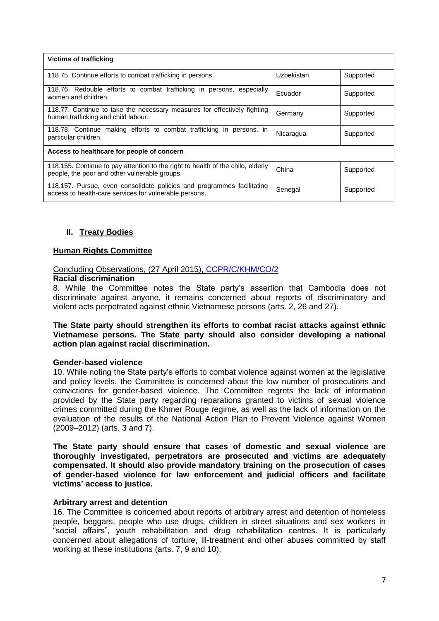| <b>Victims of trafficking</b>                                                                                                    |            |           |  |
|----------------------------------------------------------------------------------------------------------------------------------|------------|-----------|--|
| 118.75. Continue efforts to combat trafficking in persons.                                                                       | Uzbekistan | Supported |  |
| 118.76. Redouble efforts to combat trafficking in persons, especially<br>women and children.                                     | Ecuador    | Supported |  |
| 118.77. Continue to take the necessary measures for effectively fighting<br>human trafficking and child labour.                  | Germany    | Supported |  |
| 118.78. Continue making efforts to combat trafficking in persons, in<br>particular children.                                     | Nicaragua  | Supported |  |
| Access to healthcare for people of concern                                                                                       |            |           |  |
| 118.155. Continue to pay attention to the right to health of the child, elderly<br>people, the poor and other vulnerable groups. | China      | Supported |  |
| 118.157. Pursue, even consolidate policies and programmes facilitating<br>access to health-care services for vulnerable persons. | Senegal    | Supported |  |

# **II. Treaty Bodies**

# **Human Rights Committee**

# Concluding Observations, (27 April 2015), [CCPR/C/KHM/CO/2](http://tbinternet.ohchr.org/_layouts/treatybodyexternal/Download.aspx?symbolno=CCPR/C/KHM/CO/2&Lang=En)

# **Racial discrimination**

8. While the Committee notes the State party's assertion that Cambodia does not discriminate against anyone, it remains concerned about reports of discriminatory and violent acts perpetrated against ethnic Vietnamese persons (arts. 2, 26 and 27).

### **The State party should strengthen its efforts to combat racist attacks against ethnic Vietnamese persons. The State party should also consider developing a national action plan against racial discrimination.**

# **Gender-based violence**

10. While noting the State party's efforts to combat violence against women at the legislative and policy levels, the Committee is concerned about the low number of prosecutions and convictions for gender-based violence. The Committee regrets the lack of information provided by the State party regarding reparations granted to victims of sexual violence crimes committed during the Khmer Rouge regime, as well as the lack of information on the evaluation of the results of the National Action Plan to Prevent Violence against Women (2009–2012) (arts. 3 and 7).

**The State party should ensure that cases of domestic and sexual violence are thoroughly investigated, perpetrators are prosecuted and victims are adequately compensated. It should also provide mandatory training on the prosecution of cases of gender-based violence for law enforcement and judicial officers and facilitate victims' access to justice.**

# **Arbitrary arrest and detention**

16. The Committee is concerned about reports of arbitrary arrest and detention of homeless people, beggars, people who use drugs, children in street situations and sex workers in "social affairs", youth rehabilitation and drug rehabilitation centres. It is particularly concerned about allegations of torture, ill-treatment and other abuses committed by staff working at these institutions (arts. 7, 9 and 10).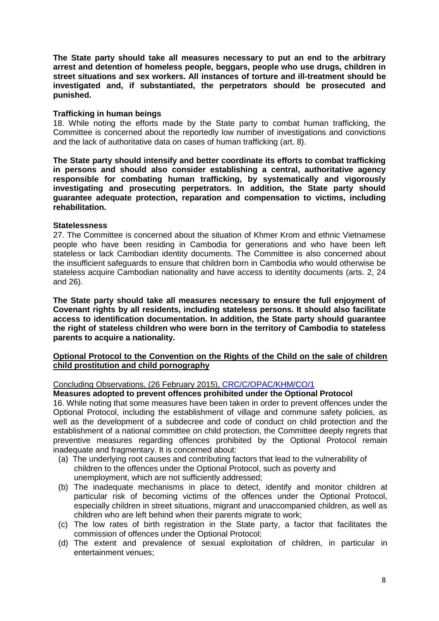**The State party should take all measures necessary to put an end to the arbitrary arrest and detention of homeless people, beggars, people who use drugs, children in street situations and sex workers. All instances of torture and ill-treatment should be investigated and, if substantiated, the perpetrators should be prosecuted and punished.**

#### **Trafficking in human beings**

18. While noting the efforts made by the State party to combat human trafficking, the Committee is concerned about the reportedly low number of investigations and convictions and the lack of authoritative data on cases of human trafficking (art. 8).

**The State party should intensify and better coordinate its efforts to combat trafficking in persons and should also consider establishing a central, authoritative agency responsible for combating human trafficking, by systematically and vigorously investigating and prosecuting perpetrators. In addition, the State party should guarantee adequate protection, reparation and compensation to victims, including rehabilitation.**

#### **Statelessness**

27. The Committee is concerned about the situation of Khmer Krom and ethnic Vietnamese people who have been residing in Cambodia for generations and who have been left stateless or lack Cambodian identity documents. The Committee is also concerned about the insufficient safeguards to ensure that children born in Cambodia who would otherwise be stateless acquire Cambodian nationality and have access to identity documents (arts. 2, 24 and 26).

**The State party should take all measures necessary to ensure the full enjoyment of Covenant rights by all residents, including stateless persons. It should also facilitate access to identification documentation. In addition, the State party should guarantee the right of stateless children who were born in the territory of Cambodia to stateless parents to acquire a nationality.**

# **Optional Protocol to the Convention on the Rights of the Child on the sale of children child prostitution and child pornography**

# Concluding Observations, (26 February 2015), [CRC/C/OPAC/KHM/CO/1](http://tbinternet.ohchr.org/_layouts/treatybodyexternal/Download.aspx?symbolno=CRC/C/OPSC/KHM/CO/1&Lang=En)

#### **Measures adopted to prevent offences prohibited under the Optional Protocol**

16. While noting that some measures have been taken in order to prevent offences under the Optional Protocol, including the establishment of village and commune safety policies, as well as the development of a subdecree and code of conduct on child protection and the establishment of a national committee on child protection, the Committee deeply regrets that preventive measures regarding offences prohibited by the Optional Protocol remain inadequate and fragmentary. It is concerned about:

- (a) The underlying root causes and contributing factors that lead to the vulnerability of children to the offences under the Optional Protocol, such as poverty and unemployment, which are not sufficiently addressed;
- (b) The inadequate mechanisms in place to detect, identify and monitor children at particular risk of becoming victims of the offences under the Optional Protocol, especially children in street situations, migrant and unaccompanied children, as well as children who are left behind when their parents migrate to work;
- (c) The low rates of birth registration in the State party, a factor that facilitates the commission of offences under the Optional Protocol;
- (d) The extent and prevalence of sexual exploitation of children, in particular in entertainment venues;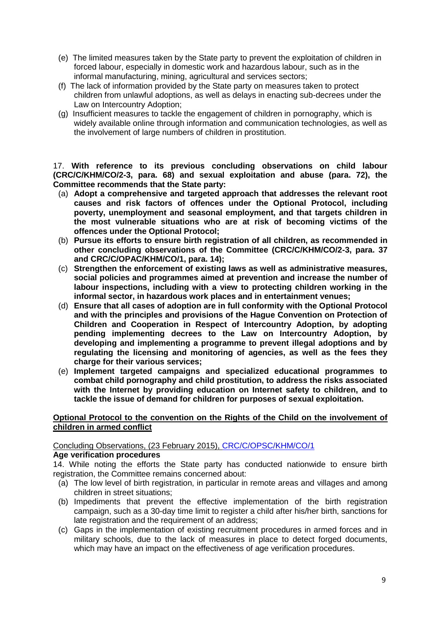- (e) The limited measures taken by the State party to prevent the exploitation of children in forced labour, especially in domestic work and hazardous labour, such as in the informal manufacturing, mining, agricultural and services sectors;
- (f) The lack of information provided by the State party on measures taken to protect children from unlawful adoptions, as well as delays in enacting sub-decrees under the Law on Intercountry Adoption;
- (g) Insufficient measures to tackle the engagement of children in pornography, which is widely available online through information and communication technologies, as well as the involvement of large numbers of children in prostitution.

17. **With reference to its previous concluding observations on child labour (CRC/C/KHM/CO/2-3, para. 68) and sexual exploitation and abuse (para. 72), the Committee recommends that the State party:**

- (a) **Adopt a comprehensive and targeted approach that addresses the relevant root causes and risk factors of offences under the Optional Protocol, including poverty, unemployment and seasonal employment, and that targets children in the most vulnerable situations who are at risk of becoming victims of the offences under the Optional Protocol;**
- (b) **Pursue its efforts to ensure birth registration of all children, as recommended in other concluding observations of the Committee (CRC/C/KHM/CO/2-3, para. 37 and CRC/C/OPAC/KHM/CO/1, para. 14);**
- (c) **Strengthen the enforcement of existing laws as well as administrative measures, social policies and programmes aimed at prevention and increase the number of labour inspections, including with a view to protecting children working in the informal sector, in hazardous work places and in entertainment venues;**
- (d) **Ensure that all cases of adoption are in full conformity with the Optional Protocol and with the principles and provisions of the Hague Convention on Protection of Children and Cooperation in Respect of Intercountry Adoption, by adopting pending implementing decrees to the Law on Intercountry Adoption, by developing and implementing a programme to prevent illegal adoptions and by regulating the licensing and monitoring of agencies, as well as the fees they charge for their various services;**
- (e) **Implement targeted campaigns and specialized educational programmes to combat child pornography and child prostitution, to address the risks associated with the Internet by providing education on Internet safety to children, and to tackle the issue of demand for children for purposes of sexual exploitation.**

#### **Optional Protocol to the convention on the Rights of the Child on the involvement of children in armed conflict**

Concluding Observations, (23 February 2015), [CRC/C/OPSC/KHM/CO/1](http://tbinternet.ohchr.org/_layouts/treatybodyexternal/Download.aspx?symbolno=CRC/C/OPAC/KHM/CO/1&Lang=En)

# **Age verification procedures**

14. While noting the efforts the State party has conducted nationwide to ensure birth registration, the Committee remains concerned about:

- (a) The low level of birth registration, in particular in remote areas and villages and among children in street situations;
- (b) Impediments that prevent the effective implementation of the birth registration campaign, such as a 30-day time limit to register a child after his/her birth, sanctions for late registration and the requirement of an address;
- (c) Gaps in the implementation of existing recruitment procedures in armed forces and in military schools, due to the lack of measures in place to detect forged documents, which may have an impact on the effectiveness of age verification procedures.